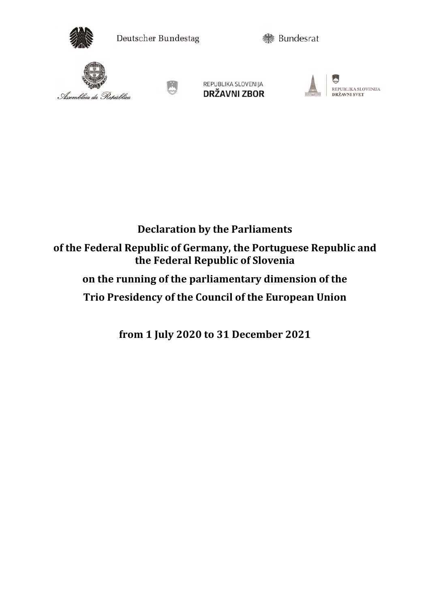

Deutscher Bundestag

**参** Bundesrat





REPUBLIKA SLOVENIJA **DRŽAVNI ZBOR** 



G REPUBLIKA SLOVENIJA DRŽAVNI SVET

## **Declaration by the Parliaments of the Federal Republic of Germany, the Portuguese Republic and the Federal Republic of Slovenia on the running of the parliamentary dimension of the Trio Presidency of the Council of the European Union**

**from 1 July 2020 to 31 December 2021**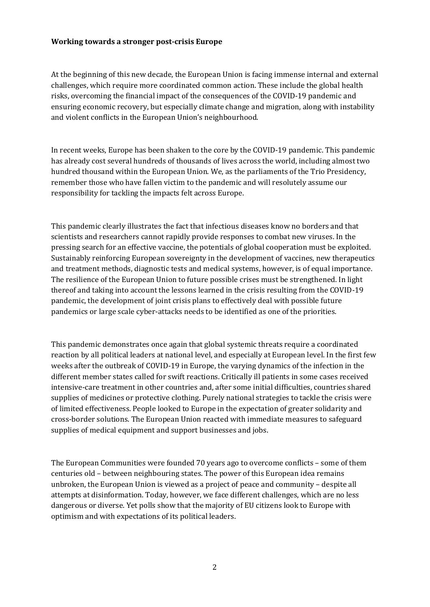## **Working towards a stronger post-crisis Europe**

At the beginning of this new decade, the European Union is facing immense internal and external challenges, which require more coordinated common action. These include the global health risks, overcoming the financial impact of the consequences of the COVID-19 pandemic and ensuring economic recovery, but especially climate change and migration, along with instability and violent conflicts in the European Union's neighbourhood.

In recent weeks, Europe has been shaken to the core by the COVID-19 pandemic. This pandemic has already cost several hundreds of thousands of lives across the world, including almost two hundred thousand within the European Union. We, as the parliaments of the Trio Presidency, remember those who have fallen victim to the pandemic and will resolutely assume our responsibility for tackling the impacts felt across Europe.

This pandemic clearly illustrates the fact that infectious diseases know no borders and that scientists and researchers cannot rapidly provide responses to combat new viruses. In the pressing search for an effective vaccine, the potentials of global cooperation must be exploited. Sustainably reinforcing European sovereignty in the development of vaccines, new therapeutics and treatment methods, diagnostic tests and medical systems, however, is of equal importance. The resilience of the European Union to future possible crises must be strengthened. In light thereof and taking into account the lessons learned in the crisis resulting from the COVID-19 pandemic, the development of joint crisis plans to effectively deal with possible future pandemics or large scale cyber-attacks needs to be identified as one of the priorities.

This pandemic demonstrates once again that global systemic threats require a coordinated reaction by all political leaders at national level, and especially at European level. In the first few weeks after the outbreak of COVID-19 in Europe, the varying dynamics of the infection in the different member states called for swift reactions. Critically ill patients in some cases received intensive-care treatment in other countries and, after some initial difficulties, countries shared supplies of medicines or protective clothing. Purely national strategies to tackle the crisis were of limited effectiveness. People looked to Europe in the expectation of greater solidarity and cross-border solutions. The European Union reacted with immediate measures to safeguard supplies of medical equipment and support businesses and jobs.

The European Communities were founded 70 years ago to overcome conflicts – some of them centuries old – between neighbouring states. The power of this European idea remains unbroken, the European Union is viewed as a project of peace and community – despite all attempts at disinformation. Today, however, we face different challenges, which are no less dangerous or diverse. Yet polls show that the majority of EU citizens look to Europe with optimism and with expectations of its political leaders.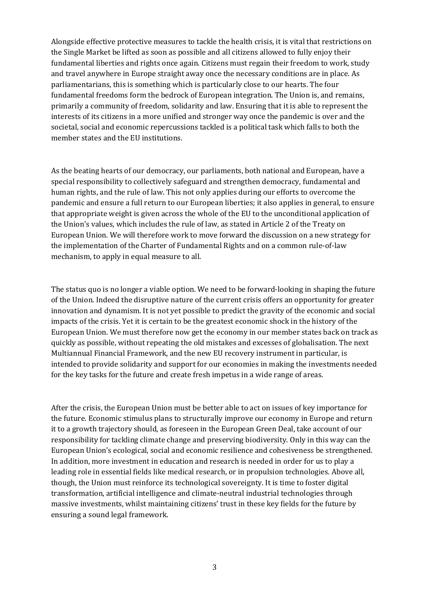Alongside effective protective measures to tackle the health crisis, it is vital that restrictions on the Single Market be lifted as soon as possible and all citizens allowed to fully enjoy their fundamental liberties and rights once again. Citizens must regain their freedom to work, study and travel anywhere in Europe straight away once the necessary conditions are in place. As parliamentarians, this is something which is particularly close to our hearts. The four fundamental freedoms form the bedrock of European integration. The Union is, and remains, primarily a community of freedom, solidarity and law. Ensuring that it is able to represent the interests of its citizens in a more unified and stronger way once the pandemic is over and the societal, social and economic repercussions tackled is a political task which falls to both the member states and the EU institutions.

As the beating hearts of our democracy, our parliaments, both national and European, have a special responsibility to collectively safeguard and strengthen democracy, fundamental and human rights, and the rule of law. This not only applies during our efforts to overcome the pandemic and ensure a full return to our European liberties; it also applies in general, to ensure that appropriate weight is given across the whole of the EU to the unconditional application of the Union's values, which includes the rule of law, as stated in Article 2 of the Treaty on European Union. We will therefore work to move forward the discussion on a new strategy for the implementation of the Charter of Fundamental Rights and on a common rule-of-law mechanism, to apply in equal measure to all.

The status quo is no longer a viable option. We need to be forward-looking in shaping the future of the Union. Indeed the disruptive nature of the current crisis offers an opportunity for greater innovation and dynamism. It is not yet possible to predict the gravity of the economic and social impacts of the crisis. Yet it is certain to be the greatest economic shock in the history of the European Union. We must therefore now get the economy in our member states back on track as quickly as possible, without repeating the old mistakes and excesses of globalisation. The next Multiannual Financial Framework, and the new EU recovery instrument in particular, is intended to provide solidarity and support for our economies in making the investments needed for the key tasks for the future and create fresh impetus in a wide range of areas.

After the crisis, the European Union must be better able to act on issues of key importance for the future. Economic stimulus plans to structurally improve our economy in Europe and return it to a growth trajectory should, as foreseen in the European Green Deal, take account of our responsibility for tackling climate change and preserving biodiversity. Only in this way can the European Union's ecological, social and economic resilience and cohesiveness be strengthened. In addition, more investment in education and research is needed in order for us to play a leading role in essential fields like medical research, or in propulsion technologies. Above all, though, the Union must reinforce its technological sovereignty. It is time to foster digital transformation, artificial intelligence and climate-neutral industrial technologies through massive investments, whilst maintaining citizens' trust in these key fields for the future by ensuring a sound legal framework.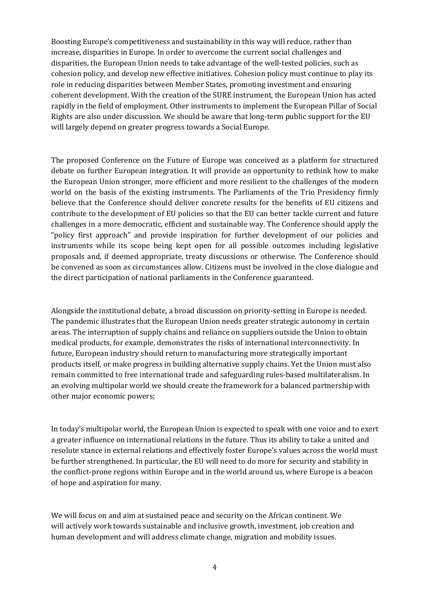Boosting Europe's competitiveness and sustainability in this way will reduce, rather than increase, disparities in Europe. In order to overcome the current social challenges and disparities, the European Union needs to take advantage of the well-tested policies, such as cohesion policy, and develop new effective initiatives. Cohesion policy must continue to play its role in reducing disparities between Member States, promoting investment and ensuring coherent development. With the creation of the SURE instrument, the European Union has acted rapidly in the field of employment. Other instruments to implement the European Pillar of Social Rights are also under discussion. We should be aware that long-term public support for the EU will largely depend on greater progress towards a Social Europe.

The proposed Conference on the Future of Europe was conceived as a platform for structured debate on further European integration. It will provide an opportunity to rethink how to make the European Union stronger, more efficient and more resilient to the challenges of the modern world on the basis of the existing instruments. The Parliaments of the Trio Presidency firmly believe that the Conference should deliver concrete results for the benefits of EU citizens and contribute to the development of EU policies so that the EU can better tackle current and future challenges in a more democratic, efficient and sustainable way. The Conference should apply the "policy first approach" and provide inspiration for further development of our policies and instruments while its scope being kept open for all possible outcomes including legislative proposals and, if deemed appropriate, treaty discussions or otherwise. The Conference should be convened as soon as circumstances allow. Citizens must be involved in the close dialogue and the direct participation of national parliaments in the Conference guaranteed.

Alongside the institutional debate, a broad discussion on priority-setting in Europe is needed. The pandemic illustrates that the European Union needs greater strategic autonomy in certain areas. The interruption of supply chains and reliance on suppliers outside the Union to obtain medical products, for example, demonstrates the risks of international interconnectivity. In future, European industry should return to manufacturing more strategically important products itself, or make progress in building alternative supply chains. Yet the Union must also remain committed to free international trade and safeguarding rules-based multilateralism. In an evolving multipolar world we should create the framework for a balanced partnership with other major economic powers;

In today's multipolar world, the European Union is expected to speak with one voice and to exert a greater influence on international relations in the future. Thus its ability to take a united and resolute stance in external relations and effectively foster Europe's values across the world must be further strengthened. In particular, the EU will need to do more for security and stability in the conflict-prone regions within Europe and in the world around us, where Europe is a beacon of hope and aspiration for many.

We will focus on and aim at sustained peace and security on the African continent. We will actively work towards sustainable and inclusive growth, investment, job creation and human development and will address climate change, migration and mobility issues.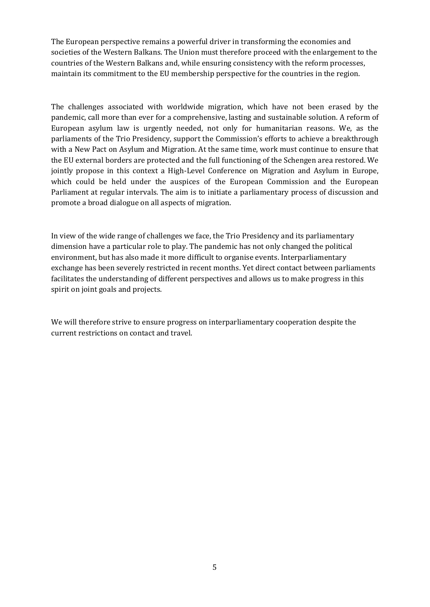The European perspective remains a powerful driver in transforming the economies and societies of the Western Balkans. The Union must therefore proceed with the enlargement to the countries of the Western Balkans and, while ensuring consistency with the reform processes, maintain its commitment to the EU membership perspective for the countries in the region.

The challenges associated with worldwide migration, which have not been erased by the pandemic, call more than ever for a comprehensive, lasting and sustainable solution. A reform of European asylum law is urgently needed, not only for humanitarian reasons. We, as the parliaments of the Trio Presidency, support the Commission's efforts to achieve a breakthrough with a New Pact on Asylum and Migration. At the same time, work must continue to ensure that the EU external borders are protected and the full functioning of the Schengen area restored. We jointly propose in this context a High-Level Conference on Migration and Asylum in Europe, which could be held under the auspices of the European Commission and the European Parliament at regular intervals. The aim is to initiate a parliamentary process of discussion and promote a broad dialogue on all aspects of migration.

In view of the wide range of challenges we face, the Trio Presidency and its parliamentary dimension have a particular role to play. The pandemic has not only changed the political environment, but has also made it more difficult to organise events. Interparliamentary exchange has been severely restricted in recent months. Yet direct contact between parliaments facilitates the understanding of different perspectives and allows us to make progress in this spirit on joint goals and projects.

We will therefore strive to ensure progress on interparliamentary cooperation despite the current restrictions on contact and travel.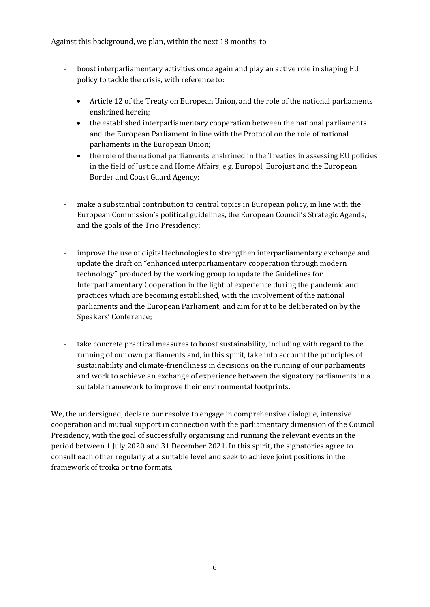Against this background, we plan, within the next 18 months, to

- boost interparliamentary activities once again and play an active role in shaping EU policy to tackle the crisis, with reference to:
	- Article 12 of the Treaty on European Union, and the role of the national parliaments enshrined herein;
	- the established interparliamentary cooperation between the national parliaments and the European Parliament in line with the Protocol on the role of national parliaments in the European Union;
	- the role of the national parliaments enshrined in the Treaties in assessing EU policies in the field of Justice and Home Affairs, e.g. Europol, Eurojust and the European Border and Coast Guard Agency;
- make a substantial contribution to central topics in European policy, in line with the European Commission's political guidelines, the European Council's Strategic Agenda, and the goals of the Trio Presidency;
- improve the use of digital technologies to strengthen interparliamentary exchange and update the draft on "enhanced interparliamentary cooperation through modern technology" produced by the working group to update the Guidelines for Interparliamentary Cooperation in the light of experience during the pandemic and practices which are becoming established, with the involvement of the national parliaments and the European Parliament, and aim for it to be deliberated on by the Speakers' Conference;
- take concrete practical measures to boost sustainability, including with regard to the running of our own parliaments and, in this spirit, take into account the principles of sustainability and climate-friendliness in decisions on the running of our parliaments and work to achieve an exchange of experience between the signatory parliaments in a suitable framework to improve their environmental footprints.

We, the undersigned, declare our resolve to engage in comprehensive dialogue, intensive cooperation and mutual support in connection with the parliamentary dimension of the Council Presidency, with the goal of successfully organising and running the relevant events in the period between 1 July 2020 and 31 December 2021. In this spirit, the signatories agree to consult each other regularly at a suitable level and seek to achieve joint positions in the framework of troika or trio formats.